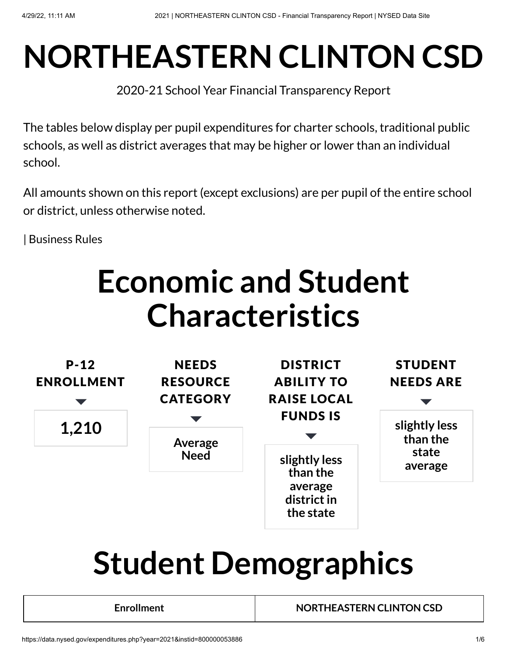# **NORTHEASTERN CLINTON CSD**

2020-21 School Year Financial Transparency Report

The tables below display per pupil expenditures for charter schools, traditional public schools, as well as district averages that may be higher or lower than an individual school.

All amounts shown on this report (except exclusions) are per pupil of the entire school or district, unless otherwise noted.

| [Business](https://data.nysed.gov/businessrules.php?type=expenditures) Rules

## **Economic and Student Characteristics**



# **Student Demographics**

**Enrollment NORTHEASTERN CLINTON CSD**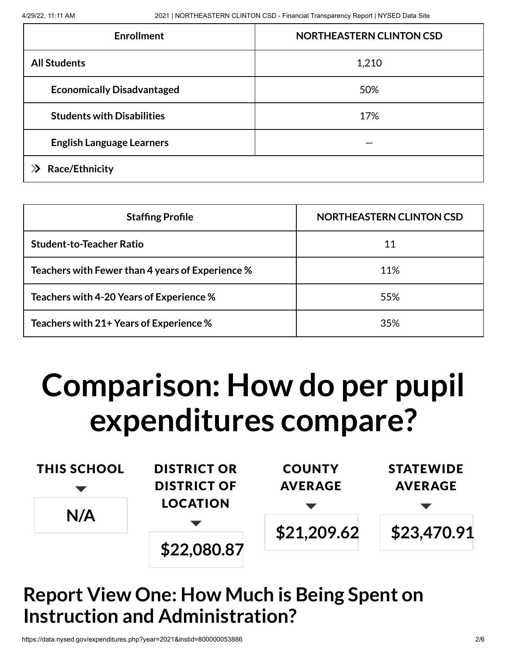| <b>Enrollment</b>                 | <b>NORTHEASTERN CLINTON CSD</b> |
|-----------------------------------|---------------------------------|
| <b>All Students</b>               | 1,210                           |
| <b>Economically Disadvantaged</b> | 50%                             |
| <b>Students with Disabilities</b> | 17%                             |
| <b>English Language Learners</b>  |                                 |
| <b>Race/Ethnicity</b>             |                                 |

| <b>Staffing Profile</b>                          | <b>NORTHEASTERN CLINTON CSD</b> |
|--------------------------------------------------|---------------------------------|
| <b>Student-to-Teacher Ratio</b>                  | 11                              |
| Teachers with Fewer than 4 years of Experience % | 11%                             |
| Teachers with 4-20 Years of Experience %         | 55%                             |
| Teachers with 21+ Years of Experience %          | 35%                             |

## **Comparison: How do per pupil expenditures compare?**

| <b>THIS SCHOOL</b> | <b>DISTRICT OR</b> | <b>COUNTY</b>  | <b>STATEWIDE</b> |
|--------------------|--------------------|----------------|------------------|
|                    | <b>DISTRICT OF</b> | <b>AVERAGE</b> | <b>AVERAGE</b>   |
| N/A                | <b>LOCATION</b>    |                |                  |
|                    |                    | \$21,209.62    | \$23,470.91      |
|                    | \$22,080.87        |                |                  |

### **Report View One: How Much is Being Spent on Instruction and Administration?**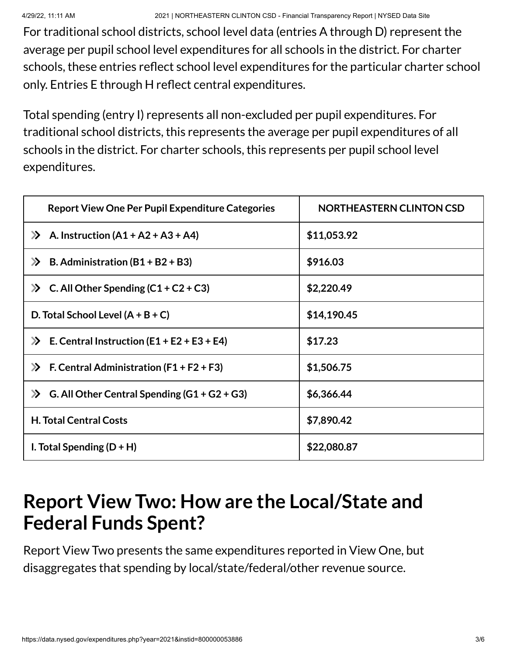For traditional school districts, school level data (entries A through D) represent the average per pupil school level expenditures for all schools in the district. For charter schools, these entries reflect school level expenditures for the particular charter school only. Entries E through H reflect central expenditures.

Total spending (entry I) represents all non-excluded per pupil expenditures. For traditional school districts, this represents the average per pupil expenditures of all schools in the district. For charter schools, this represents per pupil school level expenditures.

| <b>Report View One Per Pupil Expenditure Categories</b>     | <b>NORTHEASTERN CLINTON CSD</b> |
|-------------------------------------------------------------|---------------------------------|
| A. Instruction $(A1 + A2 + A3 + A4)$<br>$\gg$               | \$11,053.92                     |
| B. Administration $(B1 + B2 + B3)$<br>$\gg$                 | \$916.03                        |
| C. All Other Spending $(C1 + C2 + C3)$<br>$\sum$            | \$2,220.49                      |
| D. Total School Level $(A + B + C)$                         | \$14,190.45                     |
| $\triangleright$ E. Central Instruction (E1 + E2 + E3 + E4) | \$17.23                         |
| $\triangleright$ F. Central Administration (F1 + F2 + F3)   | \$1,506.75                      |
| G. All Other Central Spending $(G1 + G2 + G3)$<br>$\sum$    | \$6,366.44                      |
| <b>H. Total Central Costs</b>                               | \$7,890.42                      |
| I. Total Spending $(D + H)$                                 | \$22,080.87                     |

#### **Report View Two: How are the Local/State and Federal Funds Spent?**

Report View Two presents the same expenditures reported in View One, but disaggregates that spending by local/state/federal/other revenue source.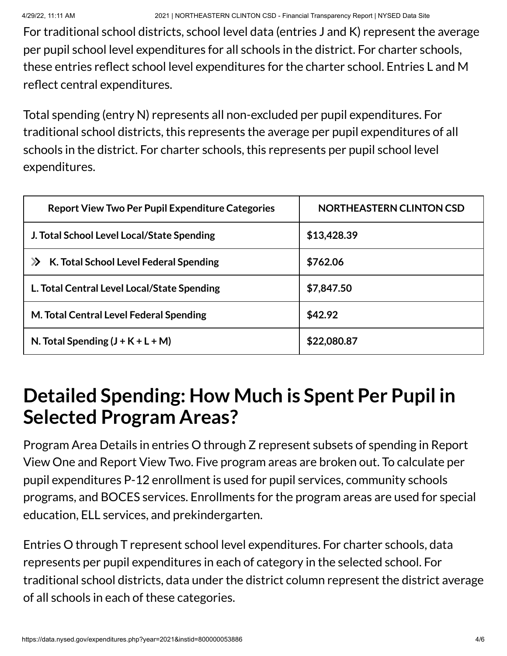For traditional school districts, school level data (entries J and K) represent the average per pupil school level expenditures for all schools in the district. For charter schools, these entries reflect school level expenditures for the charter school. Entries L and M reflect central expenditures.

Total spending (entry N) represents all non-excluded per pupil expenditures. For traditional school districts, this represents the average per pupil expenditures of all schools in the district. For charter schools, this represents per pupil school level expenditures.

| <b>Report View Two Per Pupil Expenditure Categories</b>     | <b>NORTHEASTERN CLINTON CSD</b> |
|-------------------------------------------------------------|---------------------------------|
| J. Total School Level Local/State Spending                  | \$13,428.39                     |
| K. Total School Level Federal Spending<br>$\mathbf{\Sigma}$ | \$762.06                        |
| L. Total Central Level Local/State Spending                 | \$7,847.50                      |
| M. Total Central Level Federal Spending                     | \$42.92                         |
| N. Total Spending $(J + K + L + M)$                         | \$22,080.87                     |

### **Detailed Spending: How Much is Spent Per Pupil in Selected Program Areas?**

Program Area Details in entries O through Z represent subsets of spending in Report View One and Report View Two. Five program areas are broken out. To calculate per pupil expenditures P-12 enrollment is used for pupil services, community schools programs, and BOCES services. Enrollments for the program areas are used for special education, ELL services, and prekindergarten.

Entries O through T represent school level expenditures. For charter schools, data represents per pupil expenditures in each of category in the selected school. For traditional school districts, data under the district column represent the district average of all schools in each of these categories.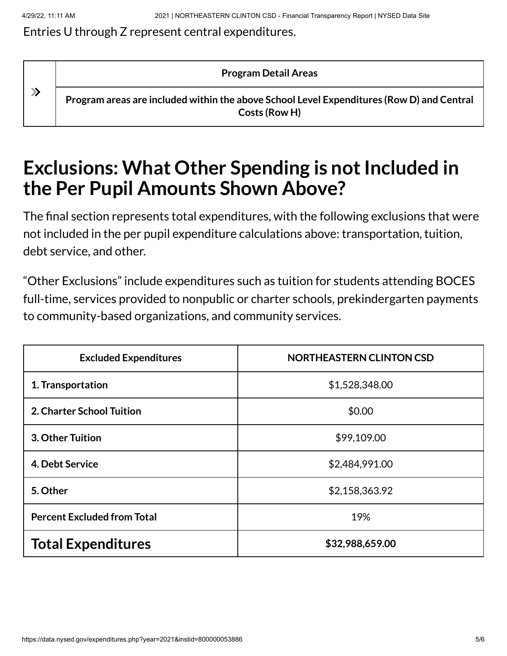#### Entries U through Z represent central expenditures.

**Program Detail Areas**

 $\gg$ 

**Program areas are included within the above School Level Expenditures (Row D) and Central Costs (Row H)**

### **Exclusions: What Other Spending is not Included in the Per Pupil Amounts Shown Above?**

The final section represents total expenditures, with the following exclusions that were not included in the per pupil expenditure calculations above: transportation, tuition, debt service, and other.

"Other Exclusions" include expenditures such as tuition for students attending BOCES full-time, services provided to nonpublic or charter schools, prekindergarten payments to community-based organizations, and community services.

| <b>Excluded Expenditures</b>       | <b>NORTHEASTERN CLINTON CSD</b> |
|------------------------------------|---------------------------------|
| 1. Transportation                  | \$1,528,348.00                  |
| <b>2. Charter School Tuition</b>   | \$0.00                          |
| 3. Other Tuition                   | \$99,109.00                     |
| 4. Debt Service                    | \$2,484,991.00                  |
| 5. Other                           | \$2,158,363.92                  |
| <b>Percent Excluded from Total</b> | 19%                             |
| <b>Total Expenditures</b>          | \$32,988,659.00                 |